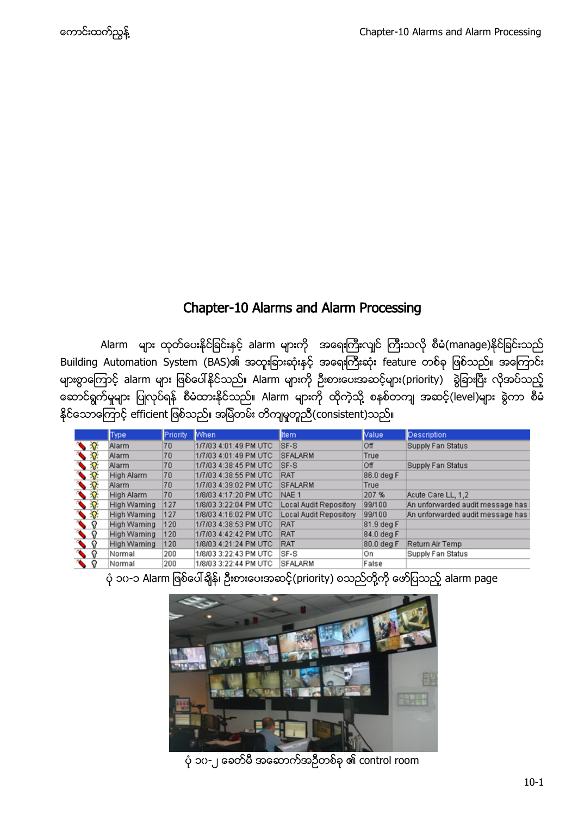# Chapter-10 Alarms and Alarm Processing

Alarm များ ထုတ်ပေးနိုင်ခြင်းနှင့် alarm များကို အရေးကြီးလျင် ကြီးသလို စီမံ(manage)နိုင်ခြင်းသည် Building Automation System (BAS)၏ အထူးခြားဆုံးနှင့် အရေးကြီးဆုံး feature တစ်ခု ဖြစ်သည်။ အကြောင်း များစွာကြောင့် alarm များ ဖြစ်ပေါ်နိုင်သည်။ Alarm များကို ဦးစားပေးအဆင့်များ(priority) ခွဲခြားပြီး လိုအပ်သည့် ဆောင်ရွက်မှုများ ပြုလုပ်ရန် စီမံထားနိုင်သည်။ Alarm များကို ထိုကဲ့သို့ စနစ်တကျ အဆင့်(level)များ ရွဲကာ စီမံ နိုင်သောကြောင့် efficient ဖြစ်သည်။ အမြဲတမ်း တိကျမှုတူညီ(consistent)သည်။

|                 | Type         | Priority | <b>When</b>           | <b>Item</b>            | Value      | <b>Description</b>               |
|-----------------|--------------|----------|-----------------------|------------------------|------------|----------------------------------|
| $\sqrt{2}$      | Alarm        | 70       | 1/7/03 4:01:49 PM UTC | SF-S                   | Off        | Supply Fan Status                |
| $\sqrt{2}$      | Alarm        | 70       | 1/7/03 4:01:49 PM UTC | <b>SFALARM</b>         | True       |                                  |
|                 | Alarm        | 70       | 1/7/03 4:38:45 PM UTC | SF-S                   | Off        | Supply Fan Status                |
|                 | High Alarm   | 70       | 1/7/03 4:38:55 PM UTC | RAT                    | 86.0 deg F |                                  |
|                 | Alarm        | 70       | 1/7/03 4:39:02 PM UTC | <b>SFALARM</b>         | True       |                                  |
|                 | High Alarm   | 70       | 1/8/03 4:17:20 PM UTC | NAE <sub>1</sub>       | 207 %      | Acute Care LL, 1,2               |
|                 | High Warning | 127      | 1/8/03 3:22:04 PM UTC | Local Audit Repository | 99/100     | An unforwarded audit message has |
|                 | High Warning | 127      | 1/8/03 4:16:02 PM UTC | Local Audit Repository | 99/100     | An unforwarded audit message has |
| $\sqrt{8}$      | High Warning | 120      | 1/7/03 4:38:53 PM UTC | <b>RAT</b>             | 81.9 deg F |                                  |
| $\bullet$ ?     | High Warning | 120      | 1/7/03 4:42:42 PM UTC | RAT                    | 84.0 deg F |                                  |
| ଦ               | High Warning | 120      | 1/8/03 4:21:24 PM UTC | RAT                    | 80.0 deg F | Return Air Temp                  |
| <b>COL</b><br>୍ | Normal       | 200      | 1/8/03 3:22:43 PM UTC | SF-S                   | On         | Supply Fan Status                |
| ଦ               | Normal       | 200      | 1/8/03 3:22:44 PM UTC | <b>SFALARM</b>         | False      |                                  |

ပုံ ၁၀-၁ Alarm ဖြစ်ပေါ်ရျိန်၊ ဦးစားပေးအဆင့်(priority) စသည်တို့ကို ဖော်ပြသည့် alarm page



ပုံ ၁၀-၂ ခေတ်မီ အဆောက်အဉီတစ်ခု ၏ control room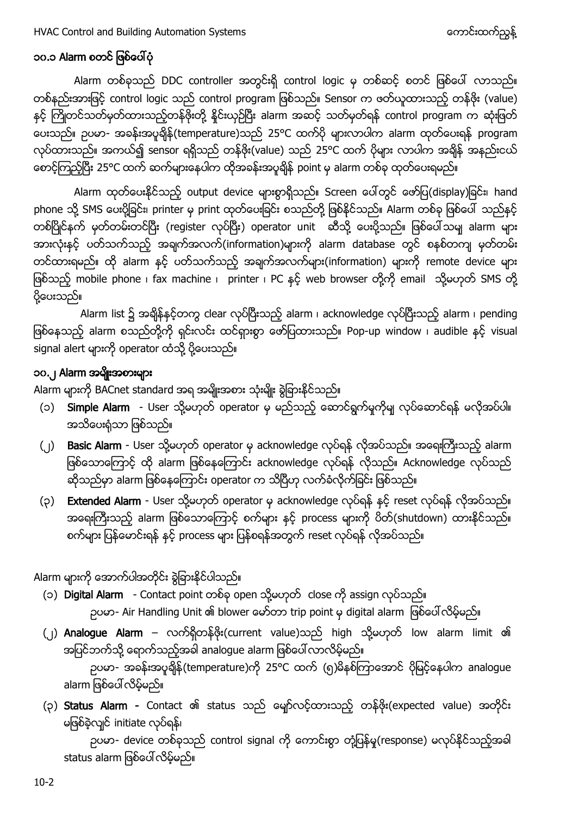# <span id="page-1-0"></span>၁၀.၁ Alarm စတင် ဖြစ်ပေါ်ပုံ

Alarm တစ်ခုသည် DDC controller အတွင်းရှိ control logic မှ တစ်ဆင့် စတင် ဖြစ်ပေါ် လာသည်။ တစ်နည်းအားဖြင့် control logic သည် control program ဖြစ်သည်။ Sensor က ဖတ်ယူထားသည့် တန်ဖိုး (value) နှင့် ကြိုတင်သတ်မှတ်ထားသည့်တန်ဖိုးတို့ နိုင်းယှဉ်ပြီး alarm အဆင့် သတ်မှတ်ရန် control program က ဆုံးဖြတ် ပေးသည်။ ဉပမာ- အခန်းအပူချိန်(temperature)သည် 25°C ထက်ပို များလာပါက alarm ထုတ်ပေးရန် program လုပ်ထားသည်။ အကယ်၍ sensor ရရှိသည် တန်ဖိုး(value) သည် 25°C ထက် ပိုများ လာပါက အချိန် အနည်းငယ် တေင့်ကြည့်ပြီး 25°C ထက် ဆက်များနေပါက ထိုအခန်းအပူချိန် point မှ alarm တစ်ခု ထုတ်ပေးရမည်။

Alarm ထုတ်ပေးနိုင်သည့် output device များစွာရှိသည်။ Screen ပေါ်တွင် ဖော်ပြ(display)ခြင်း၊ hand phone သို့ SMS ပေးပို့ခြင်း၊ printer မှ print ထုတ်ပေးခြင်း စသည်တို့ ဖြစ်နိုင်သည်။ Alarm တစ်ခု ဖြစ်ပေါ် သည်နှင့် တစ်ပြိုင်နက် မှတ်တမ်းတင်ပြီး (register လုပ်ပြီး) operator unit ဆီသို့ ပေးပို့သည်။ ဖြစ်ပေါ်သမျ alarm များ အားလုံးနှင့် ပတ်သက်သည့် အချက်အလက်(information)များကို alarm database တွင် စနစ်တကျ မှတ်တမ်း တင်ထားရမည်။ ထို alarm နှင့် ပတ်သက်သည့် အချက်အလက်များ(information) များကို remote device များ ဖြစ်သည့် mobile phone ၊ fax machine ၊ printer ၊ PC နှင့် web browser တို့ကို email သို့မဟုတ် SMS တို့ ပို့ပေးသည်။

Alarm list ၌ အချိန်နှင့်တကွ clear လုပ်ပြီးသည့် alarm ၊ acknowledge လုပ်ပြီးသည့် alarm ၊ pending ဖြစ်နေသည့် alarm စသည်တို့ကို ရှင်းလင်း ထင်ရှားစွာ ဖော်ပြထားသည်။ Pop-up window ၊ audible နှင့် visual signal alert များကို operator ထံသို့ ပို့ပေးသည်။

# <span id="page-1-1"></span>၁၀.၂ Alarm အမျိုးအစားများ

Alarm များကို BACnet standard အရ အမျိုးအစား သုံးမျိုး ရွဲခြားနိုင်သည်။

- (၁) Simple Alarm User သို့မဟုတ် operator မှ မည်သည့် ဆောင်ရွက်မှုကိုမျ လုပ်ဆောင်ရန် မလိုအပ်ပါ။ အသိပေးရုံသာ ဖြစ်သည်။
- (၂) Basic Alarm User သို့မဟုတ် operator မှ acknowledge လုပ်ရန် လိုအပ်သည်။ အရေးကြီးသည့် alarm ဖြစ်သောကြောင့် ထို alarm ဖြစ်နေကြောင်း acknowledge လုပ်ရန် လိုသည်။ Acknowledge လုပ်သည် ဆိုသည်မှာ alarm ဖြစ်နေကြောင်း operator က သိပြီဟု လက်ခံလိုက်ခြင်း ဖြစ်သည်။
- (၃) Extended Alarm User သို့မဟုတ် operator မှ acknowledge လုပ်ရန် နှင့် reset လုပ်ရန် လိုအပ်သည်။ အရေးကြီးသည့် alarm ဖြစ်သောကြောင့် စက်များ နှင့် process များကို ပိတ်(shutdown) ထားနိုင်သည်။ စက်များ ပြန်မောင်းရန် နှင့် process များ ပြန်စရန်အတွက် reset လုပ်ရန် လိုအပ်သည်။

Alarm များကို အောက်ပါအတိုင်း ခွဲခြားနိုင်ပါသည်။

- (၁) Digital Alarm Contact point တစ်ခု open သို့မဟုတ် close ကို assign လုပ်သည်။ ဉပမာ- Air Handling Unit ၏ blower မော်တာ trip point မှ digital alarm ဖြစ်ပေါ် လိမ့်မည်။
- (၂) Analogue Alarm လက်ရှိတန်ဖိုး(current value)သည် high သို့မဟုတ် low alarm limit ၏ အပြင်ဘက်သို့ ရောက်သည့်အခါ analogue alarm ဖြစ်ပေါ်လာလိမ့်မည်။ ဉပမာ- အခန်းအပူချိန်(temperature)ကို 25°C ထက် (၅)မိနစ်ကြာအောင် ပိုမြင့်နေပါက analogue alarm ဖြစ်ပေါ် လိမ့်မည်။
- (၃) Status Alarm Contact ၏ status သည် မျော်လင့်ထားသည့် တန်ဖိုး(expected value) အတိုင်း မဖြစ်ခဲ့လျင် initiate လုပ်ရန်၊

ဉပမာ- device တစ်ခုသည် control signal ကို ကောင်းစွာ တုံ့ပြန်မှု(response) မလုပ်နိုင်သည့်အခါ status alarm ဖြစ်ပေါ် လိမ့်မည်။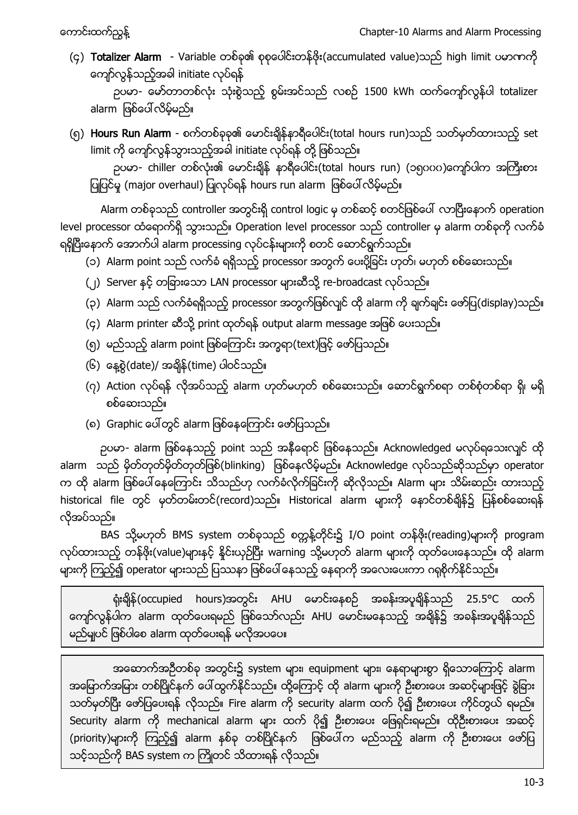(၄) Totalizer Alarm - Variable တစ်ခု၏ စုစုပေါင်းတန်ဖိုး(accumulated value)သည် high limit ပမာဏကို ကျော်လွန်သည့်အခါ initiate လုပ်ရန်

ဉပမာ- မော်တာတစ်လုံး သုံးစွဲသည့် စွမ်းအင်သည် လစဉ် 1500 kWh ထက်ကျော်လွန်ပါ totalizer alarm ဖြစ်ပေါ် လိမ့်မည်။

(၅) Hours Run Alarm - စက်တစ်ခုခု၏ မောင်းချိန်နာရီပေါင်း(total hours run)သည် သတ်မှတ်ထားသည့် set limit ကို ကျော်လွန်သွားသည့်အခါ initiate လုပ်ရန် တို့ ဖြစ်သည်။

ဉပမာ- chiller တစ်လုံး၏ မောင်းချိန် နာရီပေါင်း(total hours run) (၁၅၀၀၀)ကျော်ပါက အကြီးစား ပြုပြင်မှု (major overhaul) ပြုလုပ်ရန် hours run alarm ဖြစ်ပေါ် လိမ့်မည်။

Alarm တစ်ခုသည် controller အတွင်းရှိ control logic မှ တစ်ဆင့် စတင်ဖြစ်ပေါ် လာပြီးနောက် operation level processor ထံရောက်ရှိ သွားသည်။ Operation level processor သည် controller မှ alarm တစ်ခုကို လက်ခံ ရရှိပြီးနောက် အောက်ပါ alarm processing လုပ်ငန်းများကို စတင် ဆောင်ရွက်သည်။

- (၁) Alarm point သည် လက်ခံ ရရှိသည့် processor အတွက် ပေးပို့ခြင်း ဟုတ်၊ မဟုတ် စစ်ဆေးသည်။
- (၂) Server နှင့် တခြားသော LAN processor များဆီသို့ re-broadcast လုပ်သည်။
- (၃) Alarm သည် လက်ခံရရှိသည့် processor အတွက်ဖြစ်လျင် ထို alarm ကို ချက်ချင်း ဖော်ပြ(display)သည်။
- (၄) Alarm printer ဆီသို့ print ထုတ်ရန် output alarm message အဖြစ် ပေးသည်။
- (၅) မည်သည့် alarm point ဖြစ်ကြောင်း အက္ခရာ(text)ဖြင့် ဖော်ပြသည်။
- (၆) နေ့စွဲ $($ date)/ အရိ $\frac{2}{3}$ (time) ပါဝင်သည်။
- (၇) Action လုပ်ရန် လိုအပ်သည့် alarm ဟုတ်မဟုတ် စစ်ဆေးသည်။ ဆောင်ရွက်စရာ တစ်စုံတစ်ရာ ရှိ၊ မရှိ စစ်ဆေးသည်။
- (၈) Graphic ပေါ်တွင် alarm ဖြစ်နေကြောင်း ဖော်ပြသည်။

ဉပမာ- alarm ဖြစ်နေသည့် point သည် အနီရောင် ဖြစ်နေသည်။ Acknowledged မလုပ်ရသေးလျင် ထို alarm သည် မိုတ်တုတ်မိုတ်တုတ်ဖြစ်(blinking) ဖြစ်နေလိမ့်မည်။ Acknowledge လုပ်သည်ဆိုသည်မှာ operator က ထို alarm ဖြစ်ပေါ်နေကြောင်း သိသည်ဟု လက်ခံလိုက်ခြင်းကို ဆိုလိုသည်။ Alarm များ သိမ်းဆည်း ထားသည့် historical file တွင် မှတ်တမ်းတင်(record)သည်။ Historical alarm များကို နောင်တစ်ချိန်၌ ပြန်စစ်ဆေးရန် လိုအပ်သည်။

BAS သို့မဟုတ် BMS system တစ်ခုသည် စက္တန့်တိုင်း၌ I/O point တန်ဖိုး(reading)များကို program လုပ်ထားသည့် တန်ဖိုး(value)များနှင့် နိုင်းယှဉ်ပြီး warning သို့မဟုတ် alarm များကို ထုတ်ပေးနေသည်။ ထို alarm များကို ကြည့်၍ operator များသည် ပြဿနာ ဖြစ်ပေါ် နေသည့် နေရာကို အလေးပေးကာ ဂရုစိုက်နိုင်သည်။

ရုံးရှိန် (occupied hours)အတွင်း AHU မောင်းနေစဉ် အခန်းအပူရှိန်သည် 25.5°C ထက် ကျော်လွန်ပါက alarm ထုတ်ပေးရမည် ဖြစ်သော်လည်း AHU မောင်းမနေသည့် အချိန်၌ အခန်းအပူချိန်သည် မည်မျပင် ဖြစ်ပါစေ alarm ထုတ်ပေးရန် မလိုအပပေ။

အဆောက်အဉီတစ်ခု အတွင်း၌ system များ၊ equipment များ၊ နေရာများစွာ ရှိသောကြောင့် alarm အမြောက်အမြား တစ်ပြိုင်နက် ပေါ်ထွက်နိုင်သည်။ ထို့ကြောင့် ထို alarm များကို ဦးစားပေး အဆင့်များဖြင့် ခွဲခြား သတ်မှတ်ပြီး ဖော်ပြပေးရန် လိုသည်။ Fire alarm ကို security alarm ထက် ပို၍ ဦးစားပေး ကိုင်တွယ် ရမည်။ Security alarm ကို mechanical alarm များ ထက် ပို၍ ဦးစားပေး ဖြေရှင်းရမည်။ ထိုဦးစားပေး အဆင့် (priority)များကို ကြည့်၍ alarm နစ်ခု တစ်ပြိုင်နက် ဖြစ်ပေါ်က မည်သည့် alarm ကို ဦးစားပေး ဖော်ပြ သင့်သည်ကို BAS system က ကြိုတင် သိထားရန် လိုသည်။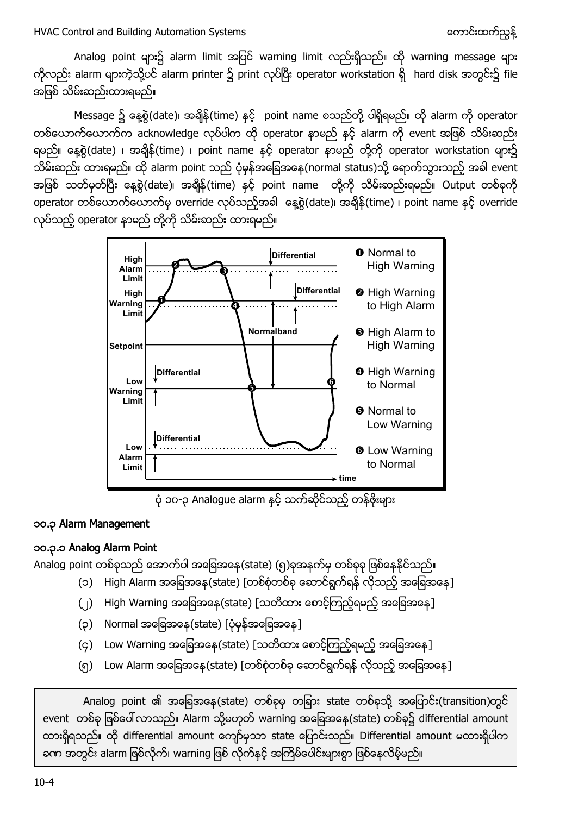Analog point များ၌ alarm limit အပြင် warning limit လည်းရှိသည်။ ထို warning message များ ကိုလည်း alarm များကဲ့သို့ပင် alarm printer ၌ print လုပ်ပြီး operator workstation ရှိ hard disk အတွင်း၌ file အဖြစ် သိမ်းဆည်းထားရမည်။

Message ၌ နေ့စွဲ(date)၊ အချိန်(time) နှင့် point name စသည်တို့ ပါရှိရမည်။ ထို alarm ကို operator တစ်ယောက်ယောက်က acknowledge လုပ်ပါက ထို operator နာမည် နှင့် alarm ကို event အဖြစ် သိမ်းဆည်း ရမည်။ နေ့စွဲ(date) ၊ အချိန်(time) ၊ point name နှင့် operator နာမည် တို့ကို operator workstation များ၌ သိမ်းဆည်း ထားရမည်။ ထို alarm point သည် ပုံမှန်အခြေအနေ(normal status)သို့ ရောက်သွားသည့် အခါ event အဖြစ် သတ်မှတ်ပြီး နေ့စွဲ(date)၊ အချိန်(time) နှင့် point name တို့ကို သိမ်းဆည်းရမည်။ Output တစ်ခုကို operator တစ်ယောက်ယောက်မှ override လုပ်သည့်အခါ နေ့စွဲ(date)၊ အချိန်(time) ၊ point name နှင့် override လုပ်သည့် operator နာမည် တို့ကို သိမ်းဆည်း ထားရမည်။



ပုံ ၁၀-၃ Analogue alarm နှင့် သက်ဆိုင်သည့် တန်ဖိုးများ

### <span id="page-3-0"></span>၁၀.၃ Alarm Management

### <span id="page-3-1"></span>၁၀.၃.၁ Analog Alarm Point

Analog point တစ်ခုသည် အောက်ပါ အခြေအနေ(state) (၅)ခုအနက်မှ တစ်ခုခု ဖြစ်နေနိုင်သည်။

- (၁) High Alarm အခြေအနေ(state) [တစ်စုံတစ်ခု ဆောင်ရွက်ရန် လိုသည့် အခြေအနေ]
- (၂) High Warning အခြေအနေ(state) [သတိထား စောင့်ကြည့်ရမည့် အခြေအနေ]
- (၃) Normal အခြေအနေ (state) [ပုံမှန်အခြေအနေ]
- (၄) Low Warning အခြေအနေ(state) [သတိထား စောင့်ကြည့်ရမည့် အခြေအနေ]
- (၅) Low Alarm အခြေအနေ(state) [တစ်စုံတစ်ခု ဆောင်ရွက်ရန် လိုသည့် အခြေအနေ]

Analog point ၏ အခြေအနေ(state) တစ်ခုမှ တခြား state တစ်ခုသို့ အပြောင်း(transition)တွင် event တစ်ခု ဖြစ်ပေါ်လာသည်။ Alarm သို့မဟုတ် warning အခြေအနေ (state) တစ်ခု၌ differential amount ထားရှိရသည်။ ထို differential amount ကျော်မှသာ state ပြောင်းသည်။ Differential amount မထားရှိပါက ခဏ အတွင်း alarm ဖြစ်လိုက်၊ warning ဖြစ် လိုက်နှင့် အကြိမ်ပေါင်းများစွာ ဖြစ်နေလိမ့်မည်။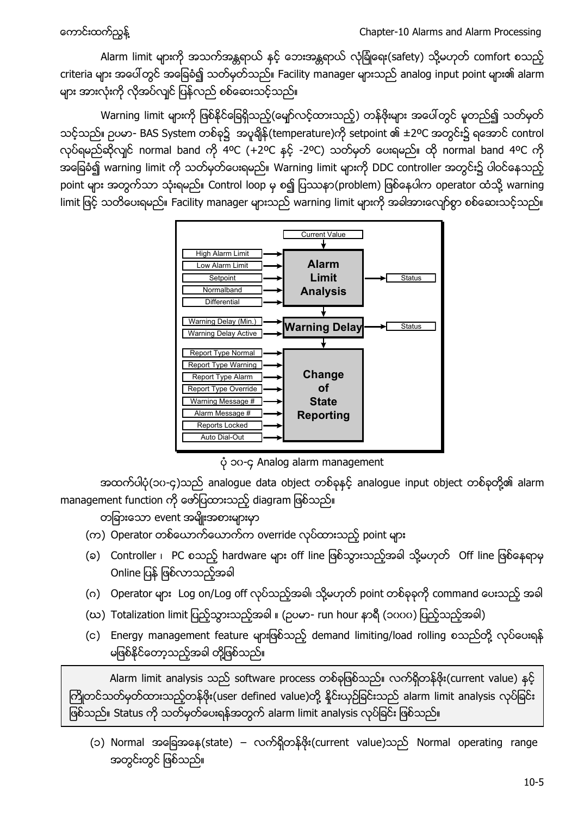Alarm limit များကို အသက်အန္တရာယ် နင့် ဘေးအန္တရာယ် လုံခြုံရေး(safety) သို့မဟုတ် comfort စသည့် criteria များ အပေါ်တွင် အခြေခံ၍ သတ်မှတ်သည်။ Facility manager များသည် analog input point များ၏ alarm များ အားလုံးကို လိုအပ်လျင် ပြန်လည် စစ်ဆေးသင့်သည်။

Warning limit များကို ဖြစ်နိုင်ခြေရှိသည့်(မျော်လင့်ထားသည့်) တန်ဖိုးများ အပေါ်တွင် မူတည်၍ သတ်မှတ် သင့်သည်။ ဉပမာ- BAS System တစ်ခု၌ အပူရှိန် (temperature)ကို setpoint ၏ ±2ºC အတွင်း၌ ရအောင် control လုပ်ရမည်ဆိုလျင် normal band ကို 4ºC (+2ºC နှင့် -2ºC) သတ်မှတ် ပေးရမည်။ ထို normal band 4ºC ကို အခြေခံ၍ warning limit ကို သတ်မှတ်ပေးရမည်။ Warning limit များကို DDC controller အတွင်း၌ ပါဝင်နေသည့် point များ အတွက်သာ သုံးရမည်။ Control loop မှ စ၍ ပြဿနာ(problem) ဖြစ်နေပါက operator ထံသို့ warning limit ဖြင့် သတိပေးရမည်။ Facility manager များသည် warning limit များကို အခါအားလျော်စွာ စစ်ဆေးသင့်သည်။



၁၀-၄ Analog alarm management

အထက်ပါပုံ(၁၀-၄)သည် analogue data object တစ်ခုနှင့် analogue input object တစ်ခုတို့၏ alarm management function ကို ဖော်ပြထားသည့် diagram ဖြစ်သည်။

တခြားသော event အမျိုးအစားများမှာ

- (က) Operator တစ်ယောက်ယောက်က override လုပ်ထားသည့် point များ
- (ခ) Controller ၊ PC စသည့် hardware များ off line ဖြစ်သွားသည့်အခါ သို့မဟုတ် Off line ဖြစ်နေရာမှ Online ပြန် ဖြစ်လာသည့်အခါ
- (ဂ) Operator များ Log on/Log off လုပ်သည့်အခါ၊ သို့မဟုတ် point တစ်ခုခုကို command ပေးသည့် အခါ
- (ဃ) Totalization limit ပြည့်သွားသည့်အခါ ။ (ဉပမာ- run hour နာရီ (၁၀၀၀) ပြည့်သည့်အခါ)
- (c) Energy management feature များဖြစ်သည့် demand limiting/load rolling စသည်တို့ လုပ်ပေးရန် မဖြစ်နိုင်တော့သည့်အခါ တို့ဖြစ်သည်။

Alarm limit analysis သည် software process တစ်ခုဖြစ်သည်။ လက်ရှိတန်ဖိုး(current value) နှင့် ကြိုတင်သတ်မှတ်ထားသည့်တန်ဖိုး(user defined value)တို့ နိုင်းယှဉ်ခြင်းသည် alarm limit analysis လုပ်ခြင်း ဖြစ်သည်။ Status ကို သတ်မှတ်ပေးရန်အတွက် alarm limit analysis လုပ်ခြင်း ဖြစ်သည်။

(၁) Normal အခြေအနေ(state) – လက်ရှိတန်ဖိုး(current value)သည် Normal operating range အတွင်းတွင် ဖြစ်သည်။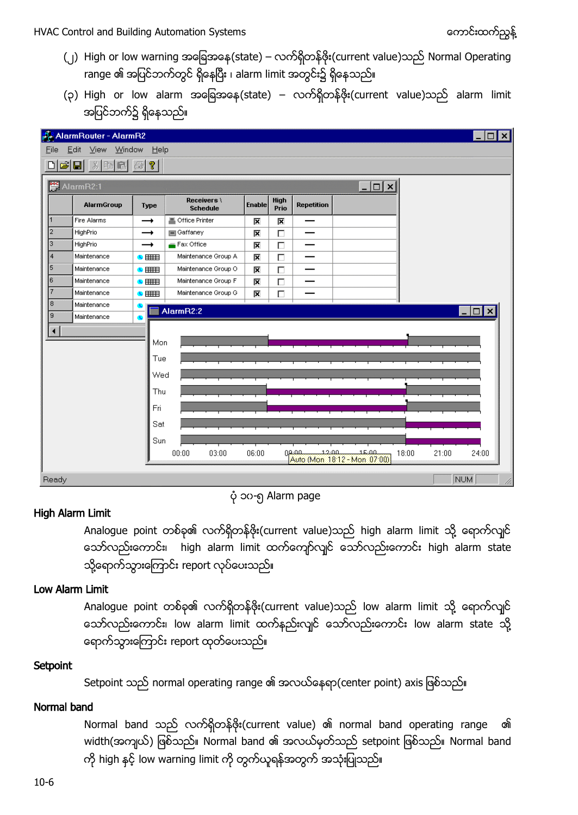- (၂) High or low warning အခြေအနေ(state) လက်ရှိတန်ဖိုး(current value)သည် Normal Operating range ၏ အပြင်ဘက်တွင် ရှိနေပြီး ၊ alarm limit အတွင်း၌ ရှိနေသည်။
- (၃) High or low alarm အခြေအနေ(state) လက်ရှိတန်ဗိုး(current value)သည် alarm limit အပြင်ဘက်၌ ရှိနေသည်။

|                                  | AlarmRouter - AlarmR2    |                          |                                |                          |              |                   |                                                    |                |            | $\vert x \vert$ |
|----------------------------------|--------------------------|--------------------------|--------------------------------|--------------------------|--------------|-------------------|----------------------------------------------------|----------------|------------|-----------------|
| Edit View Window<br>Help<br>Eile |                          |                          |                                |                          |              |                   |                                                    |                |            |                 |
| c'h                              | $X$ to a $B$             | $  \mathcal{C}  $        |                                |                          |              |                   |                                                    |                |            |                 |
|                                  | AlarmR2:1                |                          |                                |                          |              | $ \Box$ $\times$  |                                                    |                |            |                 |
|                                  | AlarmGroup               | Type                     | Receivers \<br><b>Schedule</b> | <b>Enable</b>            | High<br>Prio | <b>Repetition</b> |                                                    |                |            |                 |
| $\overline{1}$                   | Fire Alarms              | →                        | 昌 Office Printer               | 区                        | 区            | –                 |                                                    |                |            |                 |
| $\overline{2}$                   | HighPrio                 | $\rightarrow$            | Gaffaney                       | 区                        | $\Box$       |                   |                                                    |                |            |                 |
| 3                                | HighPrio                 | $\rightarrow$            | Fax Office                     | $\overline{\mathbf{x}}$  | $\Box$       |                   |                                                    |                |            |                 |
| 4                                | Maintenance              | $\overline{\phantom{a}}$ | Maintenance Group A            | K                        | $\Box$       |                   |                                                    |                |            |                 |
| 5                                | Maintenance              | $\bullet$                | Maintenance Group O            | Σ                        | $\Box$       |                   |                                                    |                |            |                 |
| l6                               | Maintenance              | $\bullet$ $\equiv$       | Maintenance Group F            | $\overline{\mathbf{x}}$  | $\Box$       |                   |                                                    |                |            |                 |
| 7                                | Maintenance              | ● 田田                     | Maintenance Group G            | $\overline{\phantom{a}}$ | $\Box$       |                   |                                                    |                |            |                 |
| 8<br>9                           | Maintenance<br>AlarmR2:2 |                          |                                |                          |              |                   | I⊥I⊡I×                                             |                |            |                 |
|                                  | Maintenance              | œ                        |                                |                          |              |                   |                                                    |                |            |                 |
|                                  |                          |                          |                                |                          |              |                   |                                                    |                |            |                 |
|                                  |                          | Mon                      |                                |                          |              |                   |                                                    |                |            |                 |
|                                  |                          | Tue                      |                                |                          |              |                   |                                                    |                |            |                 |
|                                  |                          | Wed                      |                                |                          |              |                   |                                                    |                |            |                 |
|                                  |                          | Thu                      |                                |                          |              |                   |                                                    |                |            |                 |
|                                  |                          |                          |                                |                          |              |                   |                                                    |                |            |                 |
|                                  |                          | Fri                      |                                |                          |              |                   |                                                    |                |            |                 |
|                                  |                          | Sat                      |                                |                          |              |                   |                                                    |                |            |                 |
|                                  |                          | Sun                      |                                |                          |              |                   |                                                    |                |            |                 |
|                                  |                          |                          | 00:00<br>03:00                 | 06:00                    |              |                   |                                                    | 18:00<br>21:00 | 24:00      |                 |
|                                  |                          |                          |                                |                          |              |                   | 09:00 12:00 15:00<br>Auto (Mon. 1812 - Mon. 07:00) |                |            |                 |
| Ready                            |                          |                          |                                |                          |              |                   |                                                    |                | <b>NUM</b> | h               |

၁၀-၅ Alarm page

### High Alarm Limit

Analogue point တစ်ခု၏ လက်ရှိတန်ဖိုး(current value)သည် high alarm limit သို့ ရောက်လျင် သော်လည်းကောင်း၊ high alarm limit ထက်ကျော်လျင် သော်လည်းကောင်း high alarm state သို့ရောက်သွားကြောင်း report လုပ်ပေးသည်။

#### Low Alarm Limit

Analogue point တစ်ခု၏ လက်ရှိတန်ဖိုး(current value)သည် low alarm limit သို့ ရောက်လျင် သော်လည်းကောင်း၊ low alarm limit ထက်နည်းလျင် သော်လည်းကောင်း low alarm state သို့ ရောက်သွားကြောင်း report ထုတ်ပေးသည်။

### **Setpoint**

Setpoint သည် normal operating range ၏ အလယ်နေရာ(center point) axis ဖြစ်သည်။

### Normal band

Normal band သည် လက်ရှိတန်ဖိုး(current value) ၏ normal band operating range ၏ width(အကျယ်) ဖြစ်သည်။ Normal band ၏ အလယ်မှတ်သည် setpoint ဖြစ်သည်။ Normal band ကို high နှင့် low warning limit ကို တွက်ယူရန်အတွက် အသုံးပြုသည်။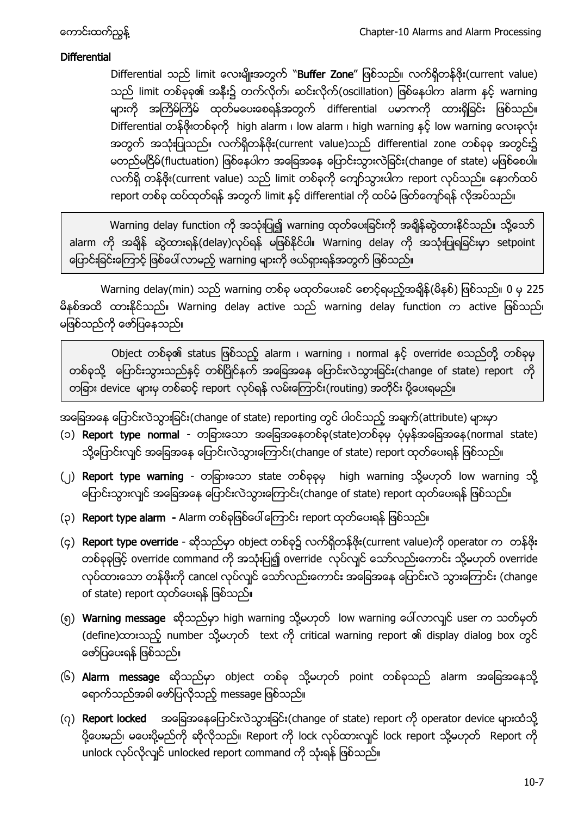#### **Differential**

Differential သည် limit လေးမျိုးအတွက် "Buffer Zone" ဖြစ်သည်။ လက်ရှိတန်ဖိုး(current value) သည် limit တစ်ခုခု၏ အနီး၌ တက်လိုက်၊ ဆင်းလိုက်(oscillation) ဖြစ်နေပါက alarm နှင့် warning များကို အကြိမ်ကြိမ် ထုတ်မပေးစေရန်အတွက် differential ပမာဏကို ထားရှိခြင်း ဖြစ်သည်။ Differential တန်ဖိုးတစ်ခုကို high alarm ၊ low alarm ၊ high warning နှင့် low warning လေးခုလုံး အတွက် အသုံးပြုသည်။ လက်ရှိတန်ဖိုး(current value)သည် differential zone တစ်ခုခု အတွင်း၌ မတည်မငြိမ် (fluctuation) ဖြစ်နေပါက အခြေအနေ ပြောင်းသွားလဲခြင်း (change of state) မဖြစ်စေပါ။ လက်ရှိ တန်ဖိုး(current value) သည် limit တစ်ခုကို ကျော်သွားပါက report လုပ်သည်။ နောက်ထပ် report တစ်ခု ထပ်ထုတ်ရန် အတွက် limit နှင့် differential ကို ထပ်မံ ဖြတ်ကျော်ရန် လိုအပ်သည်။

Warning delay function ကို အသုံးပြု၍ warning ထုတ်ပေးခြင်းကို အချိန်ဆွဲထားနိုင်သည်။ သို့သော် alarm ကို အချိန် ဆွဲထားရန်(delay)လုပ်ရန် မဖြစ်နိုင်ပါ။ Warning delay ကို အသုံးပြုရခြင်းမှာ setpoint ပြောင်းခြင်းကြောင့် ဖြစ်ပေါ် လာမည့် warning များကို ဖယ်ရှားရန်အတွက် ဖြစ်သည်။

Warning delay(min) သည် warning တစ်ခု မထုတ်ပေးခင် စောင့်ရမည့်အချိန်(မိနစ်) ဖြစ်သည်။ 0 မှ 225 မိနစ်အထိ ထားနိုင်သည်။ Warning delay active သည် warning delay function က active ဖြစ်သည်၊ မဖြစ်သည်ကို ဖော်ပြနေသည်။

Object တစ်ခု၏ status ဖြစ်သည့် alarm ၊ warning ၊ normal နှင့် override စသည်တို့ တစ်ခုမှ တစ်ခုသို့ ပြောင်းသွားသည်နှင့် တစ်ပြိုင်နက် အခြေအနေ ပြောင်းလဲသွားခြင်း(change of state) report ကို တခြား device များမှ တစ်ဆင့် report လုပ်ရန် လမ်းကြောင်း(routing) အတိုင်း ပို့ပေးရမည်။

အခြေအနေ ပြောင်းလဲသွားခြင်း(change of state) reporting တွင် ပါဝင်သည့် အချက်(attribute) များမှာ

- (၁) Report type normal တခြားသော အခြေအနေတစ်ခု(state)တစ်ခုမှ ပုံမှန်အခြေအနေ(normal state) သို့ပြောင်းလျင် အခြေအနေ ပြောင်းလဲသွားကြောင်း(change of state) report ထုတ်ပေးရန် ဖြစ်သည်။
- (၂) Report type warning တခြားသော state တစ်ခုခုမှ high warning သို့မဟုတ် low warning သို့ ပြောင်းသွားလျင် အခြေအနေ ပြောင်းလဲသွားကြောင်း(change of state) report ထုတ်ပေးရန် ဖြစ်သည်။
- (၃) Report type alarm Alarm တစ်ခုဖြစ်ပေါ်ကြောင်း report ထုတ်ပေးရန် ဖြစ်သည်။
- (၄) Report type override ဆိုသည်မှာ object တစ်ခု၌ လက်ရှိတန်ဖိုး(current value)ကို operator က တန်ဖိုး တစ်ခုခုဖြင့် override command ကို အသုံးပြု၍ override လုပ်လျင် သော်လည်းကောင်း သို့မဟုတ် override လုပ်ထားသော တန်ဖိုးကို cancel လုပ်လျင် သော်လည်းကောင်း အခြေအနေ ပြောင်းလဲ သွားကြောင်း (change of state) report ထုတ်ပေးရန် ဖြစ်သည်။
- (၅) Warning message ဆိုသည်မှာ high warning သို့မဟုတ် low warning ပေါ်လာလျင် user က သတ်မှတ် (define) ထားသည့် number သို့မဟုတ် text ကို critical warning report ၏ display dialog box တွင် ဖော်ပြပေးရန် ဖြစ်သည်။
- (၆) Alarm message ဆိုသည်မှာ object တစ်ခု သို့မဟုတ် point တစ်ခုသည် alarm အခြေအနေသို့ ရောက်သည်အခါ ဖော်ပြလိုသည့် message ဖြစ်သည်။
- (၇) Report locked အခြေအနေပြောင်းလဲသွားခြင်း(change of state) report ကို operator device များထံသို့ ပို့ပေးမည်၊ မပေးပို့မည်ကို ဆိုလိုသည်။ Report ကို lock လုပ်ထားလျင် lock report သို့မဟုတ် Report ကို unlock လုပ်လိုလျင် unlocked report command ကို သုံးရန် ဖြစ်သည်။

 $\mathbf{I}$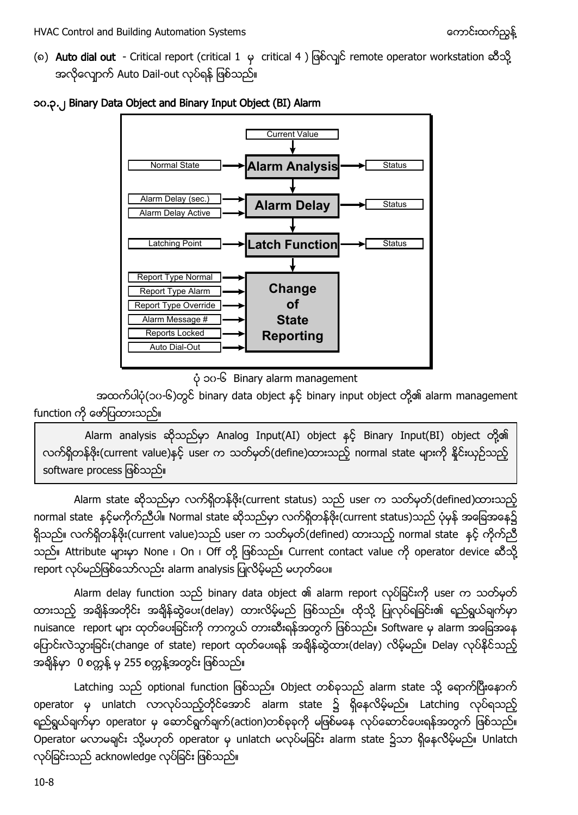(၈) Auto dial out - Critical report (critical 1 မှ critical 4 ) ဖြစ်လျင် remote operator workstation ဆီသို့ အလိုလျောက် Auto Dail-out လုပ်ရန် ဖြစ်သည်။



#### <span id="page-7-0"></span>၁၀.၃.၂ Binary Data Object and Binary Input Object (BI) Alarm

၁၀-၆ Binary alarm management

အထက်ပါပုံ(၁၀-၆)တွင် binary data object နှင့် binary input object တို့၏ alarm management function ကို ဖော်ပြထားသည်။

Alarm analysis သိုသည်မှာ Analog Input(AI) object နင့် Binary Input(BI) object တို့၏ လက်ရှိတန်ဖိုး(current value)နှင့် user က သတ်မှတ်(define)ထားသည့် normal state များကို နိုင်းယှဉ်သည့် software process ဖြစ်သည်။

Alarm state ဆိုသည်မှာ လက်ရှိတန်ဖိုး(current status) သည် user က သတ်မှတ်(defined)ထားသည့် normal state နှင့်မကိုက်ညီပါ။ Normal state ဆိုသည်မှာ လက်ရှိတန်ဖိုး(current status)သည် ပုံမှန် အခြေအနေ၌ ရှိသည်။ လက်ရှိတန်ဖိုး(current value)သည် user က သတ်မှတ်(defined) ထားသည့် normal state နှင့် ကိုက်ညီ သည်။ Attribute များမှာ None ၊ On ၊ Off တို့ ဖြစ်သည်။ Current contact value ကို operator device ဆီသို့ report လုပ်မည်ဖြစ်သော်လည်း alarm analysis ပြုလိမ့်မည် မဟုတ်ပေ။

Alarm delay function သည် binary data object ၏ alarm report လုပ်ခြင်းကို user က သတ်မှတ် ထားသည့် အချိန်အတိုင်း အချိန်ဆွဲပေး(delay) ထားလိမ့်မည် ဖြစ်သည်။ ထိုသို့ ပြုလုပ်ရခြင်း၏ ရည်ရွယ်ချက်မှာ nuisance report များ ထုတ်ပေးခြင်းကို ကာကွယ် တားဆီးရန်အတွက် ဖြစ်သည်။ Software မှ alarm အခြေအနေ ပြောင်းလဲသွားခြင်း(change of state) report ထုတ်ပေးရန် အချိန်ဆွဲထား(delay) လိမ့်မည်။ Delay လုပ်နိုင်သည့် အရှိန်မှာ 0 စက္ကန့် မှ 255 စက္ကန့်အတွင်း ဖြစ်သည်။

Latching သည် optional function ဖြစ်သည်။ Object တစ်ခုသည် alarm state သို့ ရောက်ပြီးနောက် operator မှ unlatch လာလုပ်သည့်တိုင်အောင် alarm state ၌ ရှိနေလိမ့်မည်။ Latching လုပ်ရသည့် ရည်ရွယ်ချက်မှာ operator မှ ဆောင်ရွက်ချက်(action)တစ်ခုခုကို မဖြစ်မနေ လုပ်ဆောင်ပေးရန်အတွက် ဖြစ်သည်။ Operator မလာမချင်း သို့မဟုတ် operator မှ unlatch မလုပ်မခြင်း alarm state ၌သာ ရှိနေလိမ့်မည်။ Unlatch လုပ်ခြင်းသည် acknowledge လုပ်ခြင်း ဖြစ်သည်။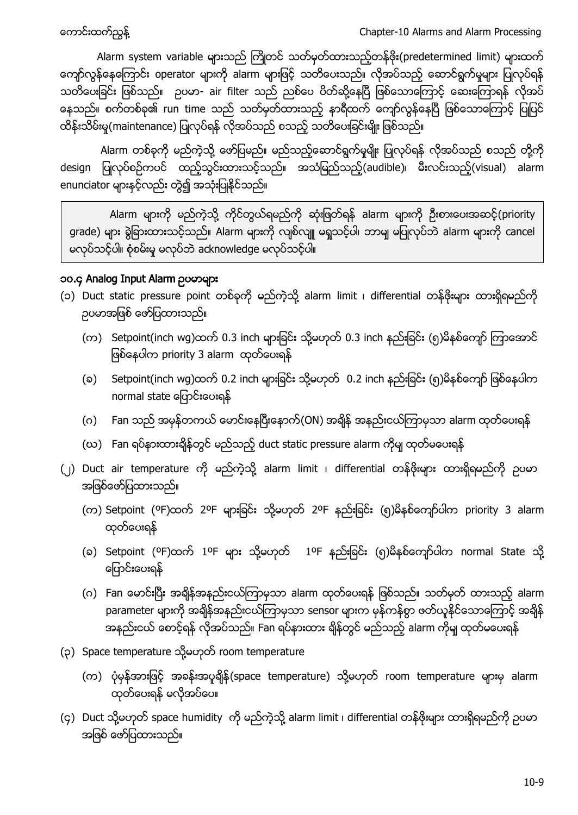Alarm system variable များသည် ကြိုတင် သတ်မှတ်ထားသည့်တန်ဖိုး(predetermined limit) များထက် ကျော်လွန်နေကြောင်း operator များကို alarm များဖြင့် သတိပေးသည်။ လိုအပ်သည့် ဆောင်ရွက်မှုများ ပြုလုပ်ရန် သတိပေးခြင်း ဖြစ်သည်။ ဥပမာ- air filter သည် ညစ်ပေ ပိတ်ဆို့နေပြီ ဖြစ်သောကြောင့် ဆေးကြောရန် လိုအပ် နေသည်။ စက်တစ်ခု၏ run time သည် သတ်မှတ်ထားသည့် နာရီထက် ကျော်လွန်နေပြီ ဖြစ်သောကြောင့် ပြုပြင် ထိန်းသိမ်းမှု(maintenance) ပြုလုပ်ရန် လိုအပ်သည် စသည့် သတိပေးခြင်းမျိုး ဖြစ်သည်။

Alarm တစ်ခုကို မည်ကဲ့သို့ ဖော်ပြမည်။ မည်သည့်ဆောင်ရွက်မှုမျိုး ပြုလုပ်ရန် လိုအပ်သည် စသည် တို့ကို design ပြုလုပ်စဉ်ကပင် ထည့်သွင်းထားသင့်သည်။ အသံမြည်သည့်(audible)၊ မီးလင်းသည့်(visual) alarm enunciator များနှင့်လည်း တွဲ၍ အသုံးပြုနိုင်သည်။

Alarm များကို မည်ကဲ့သို့ ကိုင်တွယ်ရမည်ကို ဆုံးဖြတ်ရန် alarm များကို ဦးစားပေးအဆင့်(priority grade) များ ရွဲခြားထားသင့်သည်။ Alarm များကို လျစ်လျူ မရှုသင့်ပါ၊ ဘာမျ မပြုလုပ်ဘဲ alarm များကို cancel မလုပ်သင့်ပါ။ စုံစမ်းမှု မလုပ်ဘဲ acknowledge မလုပ်သင့်ပါ။

### <span id="page-8-0"></span>၁၀.၄ Analog Input Alarm

- (၁) Duct static pressure point တစ်ခုကို မည်ကဲ့သို့ alarm limit ၊ differential တန်ဖိုးများ ထားရှိရမည်ကို ဉပမာအဖြစ် ဖော်ပြထားသည်။
	- (က) Setpoint(inch wg)ထက် 0.3 inch များခြင်း သို့မဟုတ် 0.3 inch နည်းခြင်း (၅)မိနစ်ကျော် ကြာအောင် ဖြစ်နေပါက priority 3 alarm ထုတ်ပေးရန်
	- (ခ) Setpoint(inch wg)ထက် 0.2 inch များခြင်း သို့မဟုတ် 0.2 inch နည်းခြင်း (၅)မိနစ်ကျော် ဖြစ်နေပါက normal state ပြောင်းပေးရန်
	- (ဂ) Fan သည် အမှန်တကယ် မောင်းနေပြီးနောက်(ON) အချိန် အနည်းငယ်ကြာမှသာ alarm ထုတ်ပေးရန်
	- (ဃ) Fan ရပ်နားထားရှိန်တွင် မည်သည့် duct static pressure alarm ကိုမျ ထုတ်မပေးရန်
- (၂) Duct air temperature ကို မည်ကဲ့သို့ alarm limit ၊ differential တန်ဖိုးများ ထားရှိရမည်ကို ဥပမာ အဖြစ်ဖော်ပြထားသည်။
	- (က) Setpoint (ºF)ထက် 2ºF များခြင်း သို့မဟုတ် 2ºF နည်းခြင်း (၅)မိနစ်ကျော်ပါက priority 3 alarm ထုတ်ပေးရန်
	- (ခ) Setpoint (<sup>o</sup>F)ထက် 1ºF များ သို့မဟုတ် 1ºF နည်းခြင်း (၅)မိနစ်ကျော်ပါက normal State သို့ ပြောင်းပေးရန်
	- (ဂ) Fan မောင်းပြီး အချိန်အနည်းငယ်ကြာမှသာ alarm ထုတ်ပေးရန် ဖြစ်သည်။ သတ်မှတ် ထားသည့် alarm parameter များကို အချိန်အနည်းငယ်ကြာမှသာ sensor များက မှန်ကန်စွာ ဖတ်ယူနိုင်သောကြောင့် အချိန် အနည်းငယ် စောင့်ရန် လိုအပ်သည်။ Fan ရပ်နားထား ရှိန်တွင် မည်သည့် alarm ကိုမျ ထုတ်မပေးရန်
- (၃) Space temperature သို့မဟုတ် room temperature
	- (က) ပုံမှန်အားဖြင့် အခန်းအပူရှိန်(space temperature) သို့မဟုတ် room temperature များမှ alarm .<br>ထုတ်ပေးရန် မလိုအပ်ပေ။
- (၄) Duct သို့မဟုတ် space humidity ကို မည်ကဲ့သို့ alarm limit ၊ differential တန်ဖိုးများ ထားရှိရမည်ကို ဥပမာ အဖြစ် ဖော်ပြထားသည်။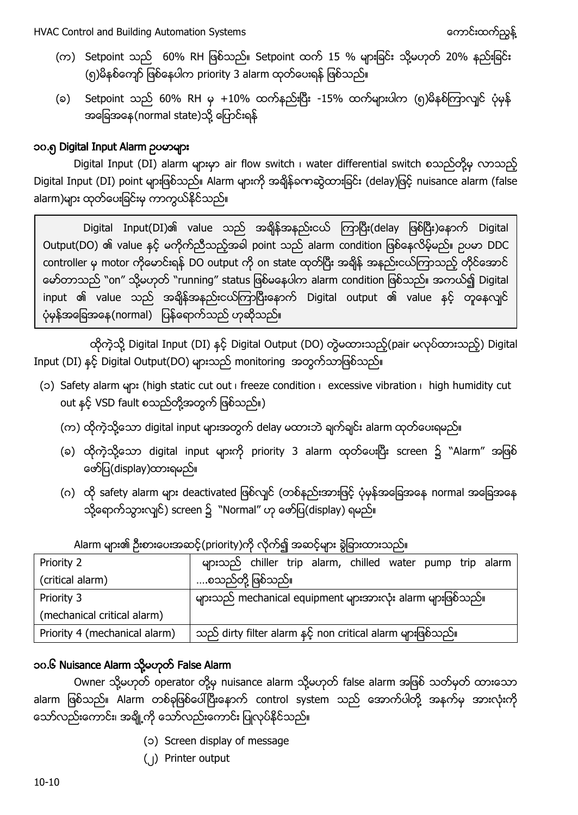- (က) Setpoint သည် 60% RH ဖြစ်သည်။ Setpoint ထက် 15 % များခြင်း သို့မဟုတ် 20% နည်းခြင်း (၅)မိနစ်ကျော် ဖြစ်နေပါက priority 3 alarm ထုတ်ပေးရန် ဖြစ်သည်။
- (ခ) Setpoint သည် 60% RH မှ +10% ထက်နည်းပြီး -15% ထက်များပါက (၅)မိနစ်ကြာလျင် ပုံမှန် အခြေအနေ (normal state)သို့ ပြောင်းရန်

## <span id="page-9-0"></span>၁၀.၅ Digital Input Alarm

Digital Input (DI) alarm များမှာ air flow switch ၊ water differential switch စသည်တို့မှ လာသည့် Digital Input (DI) point များဖြစ်သည်။ Alarm များကို အချိန်ခကာဆွဲထားခြင်း (delay)ဖြင့် nuisance alarm (false alarm)များ ထုတ်ပေးခြင်းမှ ကာကွယ်နိုင်သည်။

Digital Input(DI)၏ value သည် အချိန်အနည်းငယ် ကြာပြီး(delay ဖြစ်ပြီး)နောက် Digital Output(DO) ၏ value နှင့် မကိုက်ညီသည့်အခါ point သည် alarm condition ဖြစ်နေလိမ့်မည်။ ဉပမာ DDC controller မှ motor ကိုမောင်းရန် DO output ကို on state ထုတ်ပြီး အချိန် အနည်းငယ်ကြာသည့် တိုင်အောင် မော်တာသည် "on" သို့မဟုတ် "running" status ဖြစ်မနေပါက alarm condition ဖြစ်သည်။ အကယ်၍ Digital input ၏ value သည် အချိန်အနည်းငယ်ကြာပြီးနောက် Digital output ၏ value နှင့် တူနေလျင် ပုံမှန်အခြေအနေ(normal) ပြန်ရောက်သည် ဟုဆိုသည်။

ထိုကဲ့သို့ Digital Input (DI) နှင့် Digital Output (DO) တွဲမထားသည့်(pair မလုပ်ထားသည့်) Digital Input (DI) နှင့် Digital Output(DO) များသည် monitoring အတွက်သာဖြစ်သည်။

- (c) Safety alarm များ (high static cut out i freeze condition i excessive vibration i high humidity cut out နှင့် VSD fault စသည်တို့အတွက် ဖြစ်သည်။)
	- (က) ထိုကဲ့သို့သော digital input များအတွက် delay မထားဘဲ ချက်ချင်း alarm ထုတ်ပေးရမည်။
	- (ခ) ထိုကဲ့သို့သော digital input များကို priority 3 alarm ထုတ်ပေးပြီး screen ၌ "Alarm" အဖြစ် ဖော်ပြ(display)ထားရမည်။
	- (ဂ) ထို safety alarm များ deactivated ဖြစ်လျင် (တစ်နည်းအားဖြင့် ပုံမှန်အခြေအနေ normal အခြေအနေ သို့ရောက်သွားလျင်) screen ၌ ``Normal" ဟု ဖော်ပြ(display) ရမည်။

|                               | $\circ$ u ou                                                 |  |  |  |
|-------------------------------|--------------------------------------------------------------|--|--|--|
| Priority 2                    | များသည် chiller trip alarm, chilled water pump trip alarm    |  |  |  |
| (critical alarm)              | စသည်တို့ ဖြစ်သည်။                                            |  |  |  |
| Priority 3                    | များသည် mechanical equipment များအားလုံး alarm များဖြစ်သည်။  |  |  |  |
| (mechanical critical alarm)   |                                                              |  |  |  |
| Priority 4 (mechanical alarm) | သည် dirty filter alarm နှင့် non critical alarm များဖြစ်သည်။ |  |  |  |

Alarm များ၏ ဦးစားပေးအဆင့်(priority)ကို လိုက်၍ အဆင့်များ စွဲခြားထားသည်။

# <span id="page-9-1"></span>၁၀.၆ Nuisance Alarm သို့မဟုတ် False Alarm

Owner သို့မဟုတ် operator တို့မှ nuisance alarm သို့မဟုတ် false alarm အဖြစ် သတ်မှတ် ထားသော alarm ဖြစ်သည်။ Alarm တစ်ခုဖြစ်ပေါ်ပြီးနောက် control system သည် အောက်ပါတို့ အနက်မှ အားလုံးကို သော်လည်းကောင်း၊ အချို့ကို သော်လည်းကောင်း ပြုလုပ်နိုင်သည်။

- (၁) Screen display of message
- (၂) Printer output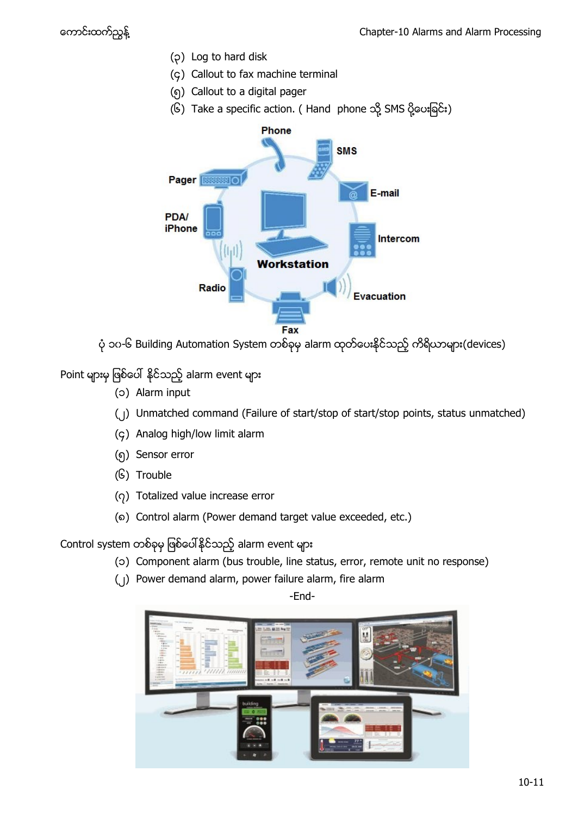- (၃) Log to hard disk
- (၄) Callout to fax machine terminal
- (၅) Callout to a digital pager
- (၆) Take a specific action. ( Hand phone သို့ SMS ပို့ပေးခြင်း)



ပုံ ၁၀-၆ Building Automation System တစ်ခုမှ alarm ထုတ်ပေးနိုင်သည့် ကိရိယာများ(devices)

Point များမှ ဖြစ်ပေါ် နိုင်သည့် alarm event များ

- (၁) Alarm input
- (၂) Unmatched command (Failure of start/stop of start/stop points, status unmatched)
- (၄) Analog high/low limit alarm
- (၅) Sensor error
- (၆) Trouble
- (၇) Totalized value increase error
- (၈) Control alarm (Power demand target value exceeded, etc.)

Control system တစ်ခုမှ ဖြစ်ပေါ်နိုင်သည့် alarm event များ

- (၁) Component alarm (bus trouble, line status, error, remote unit no response)
- (၂) Power demand alarm, power failure alarm, fire alarm

-End-